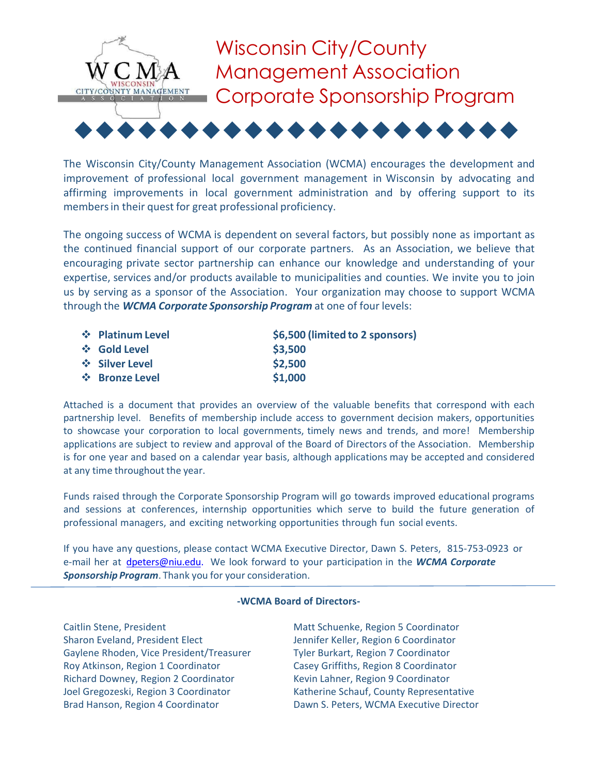

The Wisconsin City/County Management Association (WCMA) encourages the development and improvement of professional local government management in Wisconsin by advocating and affirming improvements in local government administration and by offering support to its membersin their quest for great professional proficiency.

The ongoing success of WCMA is dependent on several factors, but possibly none as important as the continued financial support of our corporate partners. As an Association, we believe that encouraging private sector partnership can enhance our knowledge and understanding of your expertise, services and/or products available to municipalities and counties. We invite you to join us by serving as a sponsor of the Association. Your organization may choose to support WCMA through the *WCMA Corporate Sponsorship Program* at one of four levels:

| † Platinum Level | \$6,500 (limited to 2 sponsors) |
|------------------|---------------------------------|
| ❖ Gold Level     | \$3,500                         |
| ❖ Silver Level   | \$2,500                         |
| † Bronze Level   | \$1,000                         |

Attached is a document that provides an overview of the valuable benefits that correspond with each partnership level. Benefits of membership include access to government decision makers, opportunities to showcase your corporation to local governments, timely news and trends, and more! Membership applications are subject to review and approval of the Board of Directors of the Association. Membership is for one year and based on a calendar year basis, although applications may be accepted and considered at any time throughout the year.

Funds raised through the Corporate Sponsorship Program will go towards improved educational programs and sessions at conferences, internship opportunities which serve to build the future generation of professional managers, and exciting networking opportunities through fun social events.

If you have any questions, please contact WCMA Executive Director, Dawn S. Peters, 815‐753‐0923 or e‐mail her at [dpeters@niu.edu.](mailto:dpeters@niu.edu) We look forward to your participation in the *WCMA Corporate Sponsorship Program*. Thank you for your consideration.

#### **-WCMA Board of Directors-**

Sharon Eveland, President Elect Jennifer Keller, Region 6 Coordinator Gaylene Rhoden, Vice President/Treasurer Tyler Burkart, Region 7 Coordinator Roy Atkinson, Region 1 Coordinator Casey Griffiths, Region 8 Coordinator Richard Downey, Region 2 Coordinator Kevin Lahner, Region 9 Coordinator Joel Gregozeski, Region 3 Coordinator Katherine Schauf, County Representative Brad Hanson, Region 4 Coordinator **Dawn S. Peters, WCMA Executive Director** 

Caitlin Stene, President **Matt Schuenke, Region 5 Coordinator** Matt Schuenke, Region 5 Coordinator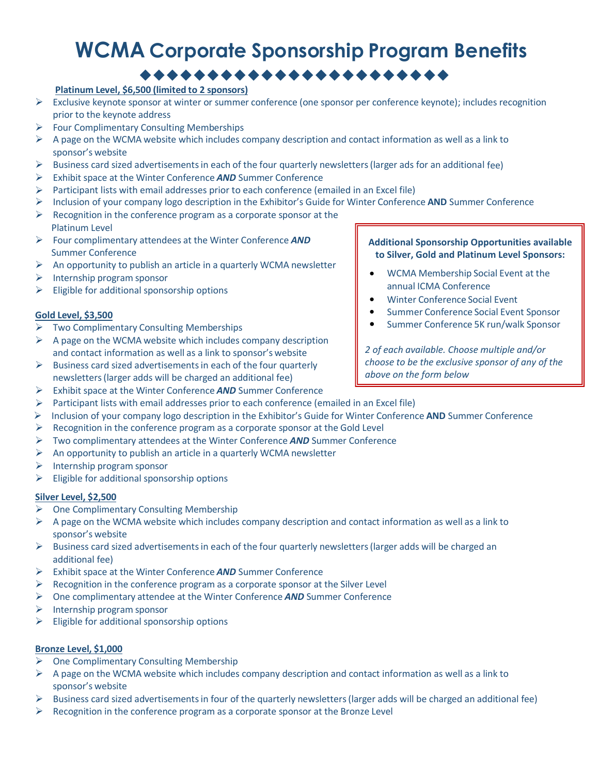# **WCMA Corporate Sponsorship Program Benefits**

# ◆◆◆◆◆◆◆◆◆◆◆◆◆◆◆◆◆◆◆◆◆◆◆

# **Platinum Level, \$6,500 (limited to 2 sponsors)**

- $\triangleright$  Exclusive keynote sponsor at winter or summer conference (one sponsor per conference keynote); includes recognition prior to the keynote address
- ➢ Four Complimentary Consulting Memberships
- $\triangleright$  A page on the WCMA website which includes company description and contact information as well as a link to sponsor's website
- $\triangleright$  Business card sized advertisements in each of the four quarterly newsletters (larger ads for an additional fee)
- ➢ Exhibit space at the Winter Conference *AND* Summer Conference
- Participant lists with email addresses prior to each conference (emailed in an Excel file)
- ➢ Inclusion of your company logo description in the Exhibitor's Guide for Winter Conference **AND** Summer Conference
- $\triangleright$  Recognition in the conference program as a corporate sponsor at the Platinum Level
- ➢ Four complimentary attendees at the Winter Conference *AND*  Summer Conference
- $\triangleright$  An opportunity to publish an article in a quarterly WCMA newsletter
- $\triangleright$  Internship program sponsor
- $\triangleright$  Eligible for additional sponsorship options

### **Gold Level, \$3,500**

- ➢ Two Complimentary Consulting Memberships
- $\triangleright$  A page on the WCMA website which includes company description and contact information as well as a link to sponsor's website
- $\triangleright$  Business card sized advertisements in each of the four quarterly newsletters(larger adds will be charged an additional fee)
- ➢ Exhibit space at the Winter Conference *AND* Summer Conference
- $\triangleright$  Participant lists with email addresses prior to each conference (emailed in an Excel file)
- ➢ Inclusion of your company logo description in the Exhibitor's Guide for Winter Conference **AND** Summer Conference
- ➢ Recognition in the conference program as a corporate sponsor at the Gold Level
- ➢ Two complimentary attendees at the Winter Conference *AND* Summer Conference
- $\triangleright$  An opportunity to publish an article in a quarterly WCMA newsletter
- $\triangleright$  Internship program sponsor
- $\triangleright$  Eligible for additional sponsorship options

#### **Silver Level, \$2,500**

- ➢ One Complimentary Consulting Membership
- $\triangleright$  A page on the WCMA website which includes company description and contact information as well as a link to sponsor's website
- $\triangleright$  Business card sized advertisements in each of the four quarterly newsletters (larger adds will be charged an additional fee)
- ➢ Exhibit space at the Winter Conference *AND* Summer Conference
- $\triangleright$  Recognition in the conference program as a corporate sponsor at the Silver Level
- ➢ One complimentary attendee at the Winter Conference *AND* Summer Conference
- ➢ Internship program sponsor
- $\triangleright$  Eligible for additional sponsorship options

#### **Bronze Level, \$1,000**

- ➢ One Complimentary Consulting Membership
- $\triangleright$  A page on the WCMA website which includes company description and contact information as well as a link to sponsor's website
- $\triangleright$  Business card sized advertisements in four of the quarterly newsletters (larger adds will be charged an additional fee)
- $\triangleright$  Recognition in the conference program as a corporate sponsor at the Bronze Level

#### **Additional Sponsorship Opportunities available to Silver, Gold and Platinum Level Sponsors:**

- WCMA Membership Social Event at the annual ICMA Conference
- Winter Conference Social Event
- Summer Conference Social Event Sponsor
- Summer Conference 5K run/walk Sponsor

*2 of each available. Choose multiple and/or choose to be the exclusive sponsor of any of the above on the form below*